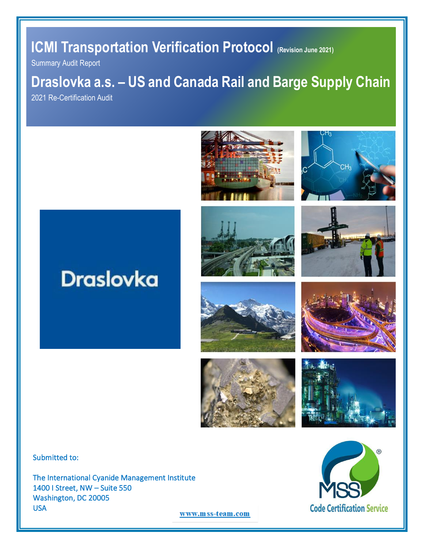# **ICMI Transportation Verification Protocol (Revision June 2021)**

Summary Audit Report

# **Draslovka a.s. – US and Canada Rail and Barge Supply Chain**

2021 Re-Certification Audit



















Submitted to:

The International Cyanide Management Institute 1400 I Street, NW – Suite 550 Washington, DC 20005 USA



www.mss-team.com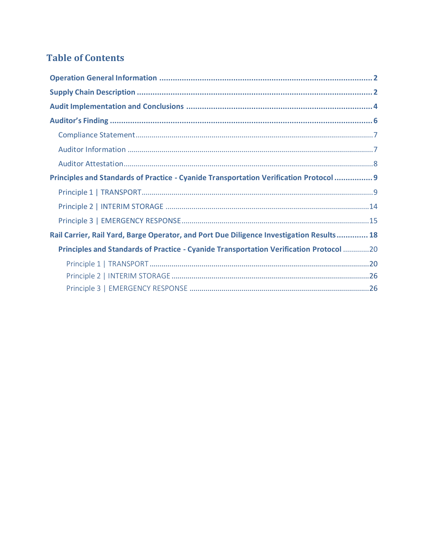## **Table of Contents**

| Principles and Standards of Practice - Cyanide Transportation Verification Protocol  9   |
|------------------------------------------------------------------------------------------|
|                                                                                          |
|                                                                                          |
|                                                                                          |
| Rail Carrier, Rail Yard, Barge Operator, and Port Due Diligence Investigation Results 18 |
| Principles and Standards of Practice - Cyanide Transportation Verification Protocol 20   |
|                                                                                          |
|                                                                                          |
|                                                                                          |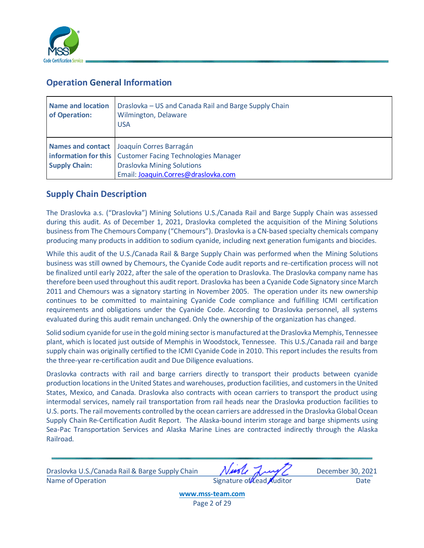

## <span id="page-2-0"></span>**Operation General Information**

| <b>Name and location</b><br>of Operation: | Draslovka – US and Canada Rail and Barge Supply Chain<br>Wilmington, Delaware<br><b>USA</b>                                                                                                 |
|-------------------------------------------|---------------------------------------------------------------------------------------------------------------------------------------------------------------------------------------------|
| <b>Supply Chain:</b>                      | Names and contact Joaquín Corres Barragán<br><b>information for this</b>   Customer Facing Technologies Manager<br><b>Draslovka Mining Solutions</b><br>Email: Joaquin.Corres@draslovka.com |

## <span id="page-2-1"></span>**Supply Chain Description**

The Draslovka a.s. ("Draslovka") Mining Solutions U.S./Canada Rail and Barge Supply Chain was assessed during this audit. As of December 1, 2021, Draslovka completed the acquisition of the Mining Solutions business from The Chemours Company ("Chemours"). Draslovka is a CN-based specialty chemicals company producing many products in addition to sodium cyanide, including next generation fumigants and biocides.

While this audit of the U.S./Canada Rail & Barge Supply Chain was performed when the Mining Solutions business was still owned by Chemours, the Cyanide Code audit reports and re-certification process will not be finalized until early 2022, after the sale of the operation to Draslovka. The Draslovka company name has therefore been used throughout this audit report. Draslovka has been a Cyanide Code Signatory since March 2011 and Chemours was a signatory starting in November 2005. The operation under its new ownership continues to be committed to maintaining Cyanide Code compliance and fulfilling ICMI certification requirements and obligations under the Cyanide Code. According to Draslovka personnel, all systems evaluated during this audit remain unchanged. Only the ownership of the organization has changed.

Solid sodium cyanide for use in the gold mining sector is manufactured at the Draslovka Memphis, Tennessee plant, which is located just outside of Memphis in Woodstock, Tennessee. This U.S./Canada rail and barge supply chain was originally certified to the ICMI Cyanide Code in 2010. This report includes the results from the three-year re-certification audit and Due Diligence evaluations.

Draslovka contracts with rail and barge carriers directly to transport their products between cyanide production locations in the United States and warehouses, production facilities, and customers in the United States, Mexico, and Canada. Draslovka also contracts with ocean carriers to transport the product using intermodal services, namely rail transportation from rail heads near the Draslovka production facilities to U.S. ports. The rail movements controlled by the ocean carriers are addressed in the Draslovka Global Ocean Supply Chain Re-Certification Audit Report. The Alaska-bound interim storage and barge shipments using Sea-Pac Transportation Services and Alaska Marine Lines are contracted indirectly through the Alaska Railroad.

Draslovka U.S./Canada Rail & Barge Supply Chain Music August December 30, 2021 Name of Operation and Date Signature of Lead Auditor Case of Date

**[www.mss-team.com](http://www.mss-team.com/)** Page 2 of 29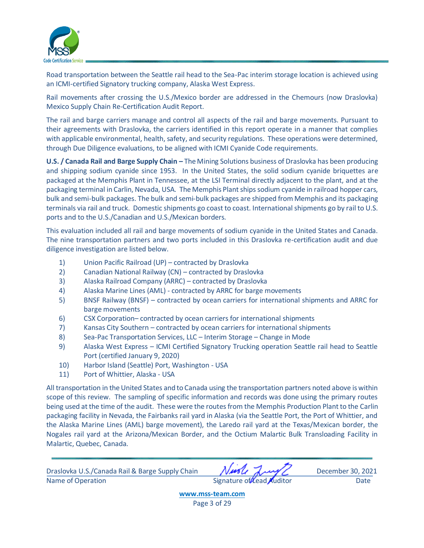

Road transportation between the Seattle rail head to the Sea-Pac interim storage location is achieved using an ICMI-certified Signatory trucking company, Alaska West Express.

Rail movements after crossing the U.S./Mexico border are addressed in the Chemours (now Draslovka) Mexico Supply Chain Re-Certification Audit Report.

The rail and barge carriers manage and control all aspects of the rail and barge movements. Pursuant to their agreements with Draslovka, the carriers identified in this report operate in a manner that complies with applicable environmental, health, safety, and security regulations. These operations were determined, through Due Diligence evaluations, to be aligned with ICMI Cyanide Code requirements.

**U.S. / Canada Rail and Barge Supply Chain –** The Mining Solutions business of Draslovka has been producing and shipping sodium cyanide since 1953. In the United States, the solid sodium cyanide briquettes are packaged at the Memphis Plant in Tennessee, at the LSI Terminal directly adjacent to the plant, and at the packaging terminal in Carlin, Nevada, USA. The Memphis Plant ships sodium cyanide in railroad hopper cars, bulk and semi-bulk packages. The bulk and semi-bulk packages are shipped from Memphis and its packaging terminals via rail and truck. Domestic shipments go coast to coast. International shipments go by rail to U.S. ports and to the U.S./Canadian and U.S./Mexican borders.

This evaluation included all rail and barge movements of sodium cyanide in the United States and Canada. The nine transportation partners and two ports included in this Draslovka re-certification audit and due diligence investigation are listed below.

- 1) Union Pacific Railroad (UP) contracted by Draslovka
- 2) Canadian National Railway (CN) contracted by Draslovka
- 3) Alaska Railroad Company (ARRC) contracted by Draslovka
- 4) Alaska Marine Lines (AML) contracted by ARRC for barge movements
- 5) BNSF Railway (BNSF) contracted by ocean carriers for international shipments and ARRC for barge movements
- 6) CSX Corporation– contracted by ocean carriers for international shipments
- 7) Kansas City Southern contracted by ocean carriers for international shipments
- 8) Sea-Pac Transportation Services, LLC Interim Storage Change in Mode
- 9) Alaska West Express ICMI Certified Signatory Trucking operation Seattle rail head to Seattle Port (certified January 9, 2020)
- 10) Harbor Island (Seattle) Port, Washington USA
- 11) Port of Whittier, Alaska USA

All transportation in the United States and to Canada using the transportation partners noted above is within scope of this review. The sampling of specific information and records was done using the primary routes being used at the time of the audit. These were the routes from the Memphis Production Plant to the Carlin packaging facility in Nevada, the Fairbanks rail yard in Alaska (via the Seattle Port, the Port of Whittier, and the Alaska Marine Lines (AML) barge movement), the Laredo rail yard at the Texas/Mexican border, the Nogales rail yard at the Arizona/Mexican Border, and the Octium Malartic Bulk Transloading Facility in Malartic, Quebec, Canada.

Draslovka U.S./Canada Rail & Barge Supply Chain Music August December 30, 2021 Name of Operation and Date Communication Signature of Lead Auditor Date

**[www.mss-team.com](http://www.mss-team.com/)** Page 3 of 29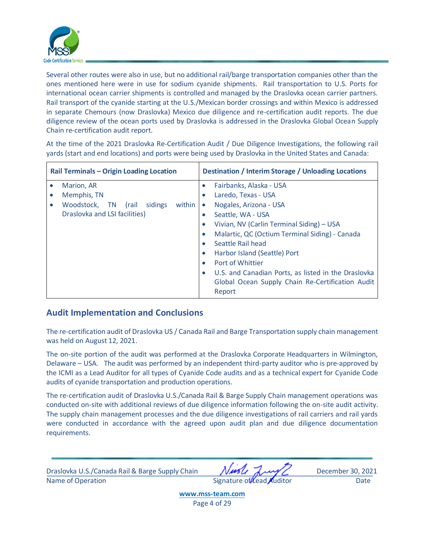

Several other routes were also in use, but no additional rail/barge transportation companies other than the ones mentioned here were in use for sodium cyanide shipments. Rail transportation to U.S. Ports for international ocean carrier shipments is controlled and managed by the Draslovka ocean carrier partners. Rail transport of the cyanide starting at the U.S./Mexican border crossings and within Mexico is addressed in separate Chemours (now Draslovka) Mexico due diligence and re-certification audit reports. The due diligence review of the ocean ports used by Draslovka is addressed in the Draslovka Global Ocean Supply Chain re-certification audit report.

At the time of the 2021 Draslovka Re-Certification Audit / Due Diligence Investigations, the following rail yards (start and end locations) and ports were being used by Draslovka in the United States and Canada:

| Rail Terminals - Origin Loading Location |                                                |           | <b>Destination / Interim Storage / Unloading Locations</b> |  |  |  |
|------------------------------------------|------------------------------------------------|-----------|------------------------------------------------------------|--|--|--|
|                                          | Marion, AR                                     | $\bullet$ | Fairbanks, Alaska - USA                                    |  |  |  |
| $\bullet$                                | Memphis, TN                                    | $\bullet$ | Laredo, Texas - USA                                        |  |  |  |
|                                          | Woodstock,<br>within<br>sidings<br>TN<br>(rail | $\bullet$ | Nogales, Arizona - USA                                     |  |  |  |
|                                          | Draslovka and LSI facilities)                  | $\bullet$ | Seattle, WA - USA                                          |  |  |  |
|                                          |                                                |           | Vivian, NV (Carlin Terminal Siding) - USA                  |  |  |  |
|                                          |                                                | $\bullet$ | Malartic, QC (Octium Terminal Siding) - Canada             |  |  |  |
|                                          |                                                | $\bullet$ | Seattle Rail head                                          |  |  |  |
|                                          |                                                | $\bullet$ | Harbor Island (Seattle) Port                               |  |  |  |
|                                          |                                                |           | Port of Whittier                                           |  |  |  |
|                                          |                                                | $\bullet$ | U.S. and Canadian Ports, as listed in the Draslovka        |  |  |  |
|                                          |                                                |           | Global Ocean Supply Chain Re-Certification Audit           |  |  |  |
|                                          |                                                |           | Report                                                     |  |  |  |

#### <span id="page-4-0"></span>**Audit Implementation and Conclusions**

The re-certification audit of Draslovka US / Canada Rail and Barge Transportation supply chain management was held on August 12, 2021.

The on-site portion of the audit was performed at the Draslovka Corporate Headquarters in Wilmington, Delaware – USA. The audit was performed by an independent third-party auditor who is pre-approved by the ICMI as a Lead Auditor for all types of Cyanide Code audits and as a technical expert for Cyanide Code audits of cyanide transportation and production operations.

The re-certification audit of Draslovka U.S./Canada Rail & Barge Supply Chain management operations was conducted on-site with additional reviews of due diligence information following the on-site audit activity. The supply chain management processes and the due diligence investigations of rail carriers and rail yards were conducted in accordance with the agreed upon audit plan and due diligence documentation requirements.

Draslovka U.S./Canada Rail & Barge Supply Chain Music August December 30, 2021 Name of Operation and Date Signature of Lead Auditor Case of Date

**[www.mss-team.com](http://www.mss-team.com/)** Page 4 of 29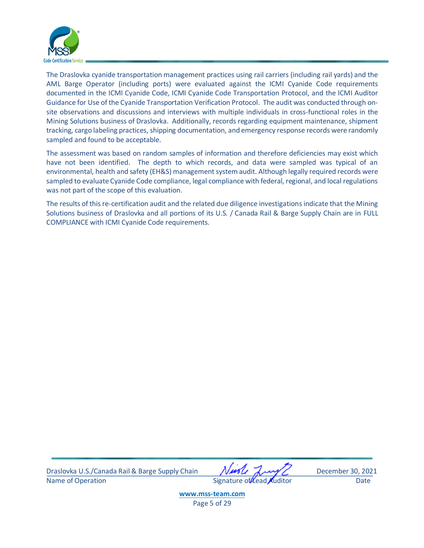

The Draslovka cyanide transportation management practices using rail carriers (including rail yards) and the AML Barge Operator (including ports) were evaluated against the ICMI Cyanide Code requirements documented in the ICMI Cyanide Code, ICMI Cyanide Code Transportation Protocol, and the ICMI Auditor Guidance for Use of the Cyanide Transportation Verification Protocol. The audit was conducted through onsite observations and discussions and interviews with multiple individuals in cross-functional roles in the Mining Solutions business of Draslovka. Additionally, records regarding equipment maintenance, shipment tracking, cargo labeling practices, shipping documentation, and emergency response records were randomly sampled and found to be acceptable.

The assessment was based on random samples of information and therefore deficiencies may exist which have not been identified. The depth to which records, and data were sampled was typical of an environmental, health and safety (EH&S) management system audit. Although legally required records were sampled to evaluate Cyanide Code compliance, legal compliance with federal, regional, and local regulations was not part of the scope of this evaluation.

The results of this re-certification audit and the related due diligence investigations indicate that the Mining Solutions business of Draslovka and all portions of its U.S. / Canada Rail & Barge Supply Chain are in FULL COMPLIANCE with ICMI Cyanide Code requirements.

Draslovka U.S./Canada Rail & Barge Supply Chain Music August December 30, 2021 Name of Operation **Contract Contract Contract Contract Contract Contract Contract Contract Contract Contract Contract Contract Contract Contract Contract Contract Contract Contract Contract Contract Contract Contract Contr** 

**[www.mss-team.com](http://www.mss-team.com/)**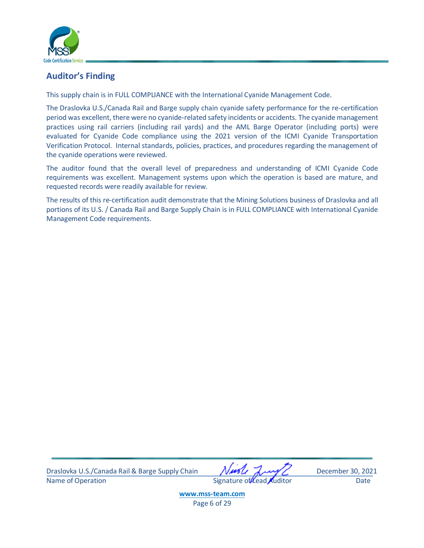

## <span id="page-6-0"></span>**Auditor's Finding**

This supply chain is in FULL COMPLIANCE with the International Cyanide Management Code.

The Draslovka U.S./Canada Rail and Barge supply chain cyanide safety performance for the re-certification period was excellent, there were no cyanide-related safety incidents or accidents. The cyanide management practices using rail carriers (including rail yards) and the AML Barge Operator (including ports) were evaluated for Cyanide Code compliance using the 2021 version of the ICMI Cyanide Transportation Verification Protocol. Internal standards, policies, practices, and procedures regarding the management of the cyanide operations were reviewed.

The auditor found that the overall level of preparedness and understanding of ICMI Cyanide Code requirements was excellent. Management systems upon which the operation is based are mature, and requested records were readily available for review.

The results of this re-certification audit demonstrate that the Mining Solutions business of Draslovka and all portions of its U.S. / Canada Rail and Barge Supply Chain is in FULL COMPLIANCE with International Cyanide Management Code requirements.

Draslovka U.S./Canada Rail & Barge Supply Chain Music August December 30, 2021 Name of Operation and Date Signature of Lead Auditor Date Date

**[www.mss-team.com](http://www.mss-team.com/)** Page 6 of 29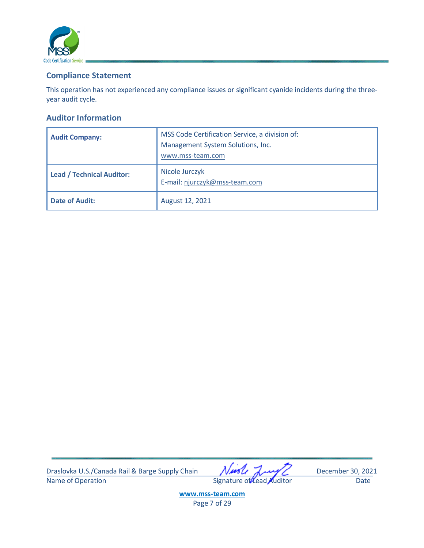

## <span id="page-7-0"></span>**Compliance Statement**

This operation has not experienced any compliance issues or significant cyanide incidents during the threeyear audit cycle.

#### <span id="page-7-1"></span>**Auditor Information**

| <b>Audit Company:</b>            | MSS Code Certification Service, a division of:<br>Management System Solutions, Inc.<br>www.mss-team.com |  |  |  |  |
|----------------------------------|---------------------------------------------------------------------------------------------------------|--|--|--|--|
| <b>Lead / Technical Auditor:</b> | Nicole Jurczyk<br>E-mail: njurczyk@mss-team.com                                                         |  |  |  |  |
| <b>Date of Audit:</b>            | August 12, 2021                                                                                         |  |  |  |  |

Draslovka U.S./Canada Rail & Barge Supply Chain Music Jump December 30, 2021<br>Name of Operation Date Date Signature of Lead Auditor Date

Signature of Lead Auditor Date

**[www.mss-team.com](http://www.mss-team.com/)** Page 7 of 29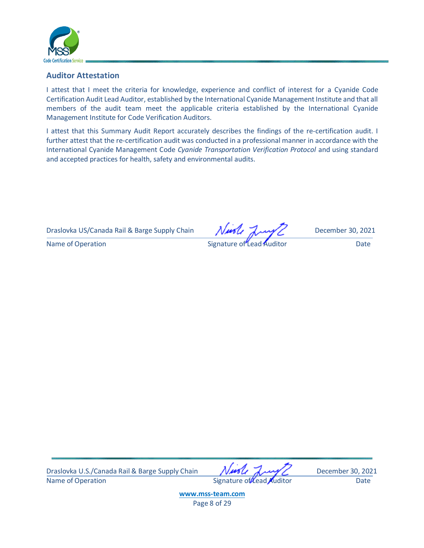

#### <span id="page-8-0"></span>**Auditor Attestation**

I attest that I meet the criteria for knowledge, experience and conflict of interest for a Cyanide Code Certification Audit Lead Auditor, established by the International Cyanide Management Institute and that all members of the audit team meet the applicable criteria established by the International Cyanide Management Institute for Code Verification Auditors.

I attest that this Summary Audit Report accurately describes the findings of the re-certification audit. I further attest that the re-certification audit was conducted in a professional manner in accordance with the International Cyanide Management Code *Cyanide Transportation Verification Protocol* and using standard and accepted practices for health, safety and environmental audits.

Draslovka US/Canada Rail & Barge Supply Chain  $N$ 

Name of Operation **Name of Construction** Signature of Lead Auditor **Construction** Date

Draslovka U.S./Canada Rail & Barge Supply Chain Music August December 30, 2021 Name of Operation **Name of Operation** Signature of Lead Auditor Date

**[www.mss-team.com](http://www.mss-team.com/)** Page 8 of 29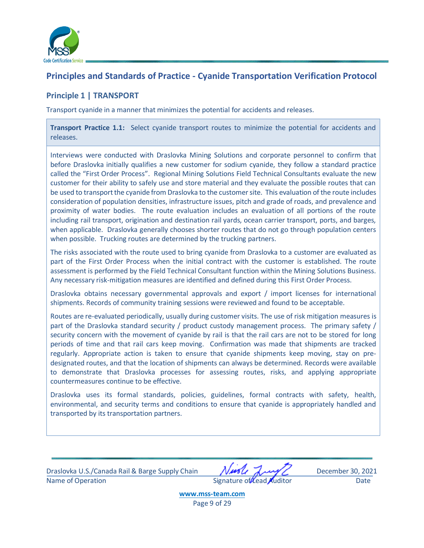

## <span id="page-9-0"></span>**Principles and Standards of Practice - Cyanide Transportation Verification Protocol**

## <span id="page-9-1"></span>**Principle 1 | TRANSPORT**

Transport cyanide in a manner that minimizes the potential for accidents and releases.

**Transport Practice 1.1:** Select cyanide transport routes to minimize the potential for accidents and releases.

Interviews were conducted with Draslovka Mining Solutions and corporate personnel to confirm that before Draslovka initially qualifies a new customer for sodium cyanide, they follow a standard practice called the "First Order Process". Regional Mining Solutions Field Technical Consultants evaluate the new customer for their ability to safely use and store material and they evaluate the possible routes that can be used to transport the cyanide from Draslovka to the customer site. This evaluation of the route includes consideration of population densities, infrastructure issues, pitch and grade of roads, and prevalence and proximity of water bodies. The route evaluation includes an evaluation of all portions of the route including rail transport, origination and destination rail yards, ocean carrier transport, ports, and barges, when applicable. Draslovka generally chooses shorter routes that do not go through population centers when possible. Trucking routes are determined by the trucking partners.

The risks associated with the route used to bring cyanide from Draslovka to a customer are evaluated as part of the First Order Process when the initial contract with the customer is established. The route assessment is performed by the Field Technical Consultant function within the Mining Solutions Business. Any necessary risk-mitigation measures are identified and defined during this First Order Process.

Draslovka obtains necessary governmental approvals and export / import licenses for international shipments. Records of community training sessions were reviewed and found to be acceptable.

Routes are re-evaluated periodically, usually during customer visits. The use of risk mitigation measures is part of the Draslovka standard security / product custody management process. The primary safety / security concern with the movement of cyanide by rail is that the rail cars are not to be stored for long periods of time and that rail cars keep moving. Confirmation was made that shipments are tracked regularly. Appropriate action is taken to ensure that cyanide shipments keep moving, stay on predesignated routes, and that the location of shipments can always be determined. Records were available to demonstrate that Draslovka processes for assessing routes, risks, and applying appropriate countermeasures continue to be effective.

Draslovka uses its formal standards, policies, guidelines, formal contracts with safety, health, environmental, and security terms and conditions to ensure that cyanide is appropriately handled and transported by its transportation partners.

Draslovka U.S./Canada Rail & Barge Supply Chain Music August December 30, 2021 Name of Operation and Date Signature of Lead Auditor Case Date

**[www.mss-team.com](http://www.mss-team.com/)**

Page 9 of 29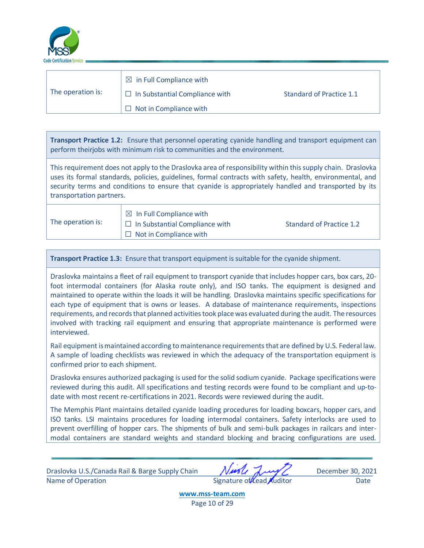

| The operation is: | $\boxtimes$ in Full Compliance with   |                          |
|-------------------|---------------------------------------|--------------------------|
|                   | $\Box$ In Substantial Compliance with | Standard of Practice 1.1 |
|                   | $\Box$ Not in Compliance with         |                          |

**Transport Practice 1.2:** Ensure that personnel operating cyanide handling and transport equipment can perform theirjobs with minimum risk to communities and the environment.

This requirement does not apply to the Draslovka area of responsibility within this supply chain. Draslovka uses its formal standards, policies, guidelines, formal contracts with safety, health, environmental, and security terms and conditions to ensure that cyanide is appropriately handled and transported by its transportation partners.

The operation is:

 $\boxtimes$  In Full Compliance with  $\Box$  In Substantial Compliance with Standard of Practice 1.2  $\Box$  Not in Compliance with

**Transport Practice 1.3:** Ensure that transport equipment issuitable for the cyanide shipment.

Draslovka maintains a fleet of rail equipment to transport cyanide that includes hopper cars, box cars, 20 foot intermodal containers (for Alaska route only), and ISO tanks. The equipment is designed and maintained to operate within the loads it will be handling. Draslovka maintains specific specifications for each type of equipment that is owns or leases. A database of maintenance requirements, inspections requirements, and records that planned activities took place was evaluated during the audit. The resources involved with tracking rail equipment and ensuring that appropriate maintenance is performed were interviewed.

Rail equipment is maintained according to maintenance requirements that are defined by U.S. Federal law. A sample of loading checklists was reviewed in which the adequacy of the transportation equipment is confirmed prior to each shipment.

Draslovka ensures authorized packaging is used for the solid sodium cyanide. Package specifications were reviewed during this audit. All specifications and testing records were found to be compliant and up-todate with most recent re-certifications in 2021. Records were reviewed during the audit.

The Memphis Plant maintains detailed cyanide loading procedures for loading boxcars, hopper cars, and ISO tanks. LSI maintains procedures for loading intermodal containers. Safety interlocks are used to prevent overfilling of hopper cars. The shipments of bulk and semi-bulk packages in railcars and intermodal containers are standard weights and standard blocking and bracing configurations are used.

Draslovka U.S./Canada Rail & Barge Supply Chain Music August December 30, 2021 Name of Operation and Date Communication Signature of Lead Auditor Date Date

**[www.mss-team.com](http://www.mss-team.com/)** Page 10 of 29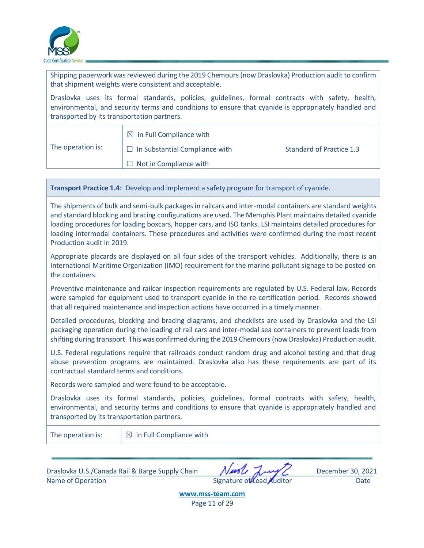

Shipping paperwork was reviewed during the 2019 Chemours (now Draslovka) Production audit to confirm that shipment weights were consistent and acceptable.

Draslovka uses its formal standards, policies, guidelines, formal contracts with safety, health, environmental, and security terms and conditions to ensure that cyanide is appropriately handled and transported by its transportation partners.

| The operation is: | $\Box$ in Full Compliance with        |                          |  |  |  |  |  |
|-------------------|---------------------------------------|--------------------------|--|--|--|--|--|
|                   | $\Box$ In Substantial Compliance with | Standard of Practice 1.3 |  |  |  |  |  |
|                   | $\Box$ Not in Compliance with         |                          |  |  |  |  |  |

**Transport Practice 1.4:** Develop and implement a safety program for transport of cyanide.

The shipments of bulk and semi-bulk packages in railcars and inter-modal containers are standard weights and standard blocking and bracing configurations are used. The Memphis Plant maintains detailed cyanide loading procedures for loading boxcars, hopper cars, and ISO tanks. LSI maintains detailed procedures for loading intermodal containers. These procedures and activities were confirmed during the most recent Production audit in 2019.

Appropriate placards are displayed on all four sides of the transport vehicles. Additionally, there is an International Maritime Organization (IMO) requirement for the marine pollutant signage to be posted on the containers.

Preventive maintenance and railcar inspection requirements are regulated by U.S. Federal law. Records were sampled for equipment used to transport cyanide in the re-certification period. Records showed that all required maintenance and inspection actions have occurred in a timely manner.

Detailed procedures, blocking and bracing diagrams, and checklists are used by Draslovka and the LSI packaging operation during the loading of rail cars and inter-modal sea containers to prevent loads from shifting during transport. This was confirmed during the 2019 Chemours (now Draslovka) Production audit.

U.S. Federal regulations require that railroads conduct random drug and alcohol testing and that drug abuse prevention programs are maintained. Draslovka also has these requirements are part of its contractual standard terms and conditions.

Records were sampled and were found to be acceptable.

Draslovka uses its formal standards, policies, guidelines, formal contracts with safety, health, environmental, and security terms and conditions to ensure that cyanide is appropriately handled and transported by its transportation partners.

The operation is:  $\Box$  in Full Compliance with

Draslovka U.S./Canada Rail & Barge Supply Chain Music August December 30, 2021 Name of Operation and Date Signature of Lead Auditor Date Date

**[www.mss-team.com](http://www.mss-team.com/)** Page 11 of 29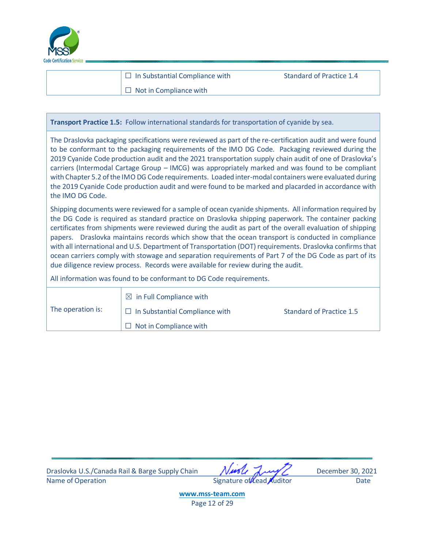

□ In Substantial Compliance with Standard of Practice 1.4  $\Box$  Not in Compliance with

**Transport Practice 1.5:** Follow international standards for transportation of cyanide by sea.

The Draslovka packaging specifications were reviewed as part of the re-certification audit and were found to be conformant to the packaging requirements of the IMO DG Code. Packaging reviewed during the 2019 Cyanide Code production audit and the 2021 transportation supply chain audit of one of Draslovka's carriers (Intermodal Cartage Group – IMCG) was appropriately marked and was found to be compliant with Chapter 5.2 of the IMO DG Code requirements. Loaded inter-modal containers were evaluated during the 2019 Cyanide Code production audit and were found to be marked and placarded in accordance with the IMO DG Code.

Shipping documents were reviewed for a sample of ocean cyanide shipments. All information required by the DG Code is required as standard practice on Draslovka shipping paperwork. The container packing certificates from shipments were reviewed during the audit as part of the overall evaluation of shipping papers. Draslovka maintains records which show that the ocean transport is conducted in compliance with all international and U.S. Department of Transportation (DOT) requirements. Draslovka confirms that ocean carriers comply with stowage and separation requirements of Part 7 of the DG Code as part of its due diligence review process. Records were available for review during the audit.

All information was found to be conformant to DG Code requirements.

| The operation is: | $\boxtimes$ in Full Compliance with   |                          |
|-------------------|---------------------------------------|--------------------------|
|                   | $\Box$ In Substantial Compliance with | Standard of Practice 1.5 |
|                   | $\Box$ Not in Compliance with         |                          |

Draslovka U.S./Canada Rail & Barge Supply Chain Music August December 30, 2021 Name of Operation **Name of Operation** Signature of Lead Auditor Date

**[www.mss-team.com](http://www.mss-team.com/)** Page 12 of 29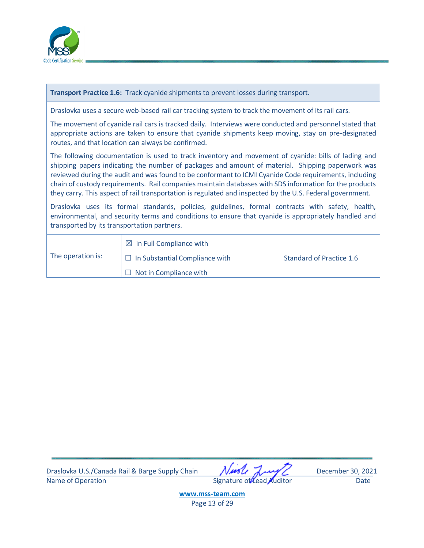

| <b>Transport Practice 1.6:</b> Track cyanide shipments to prevent losses during transport.                                                                                                                                                                                                                                                                                                                                                                                                                                              |                                                                                                        |                          |  |  |  |  |
|-----------------------------------------------------------------------------------------------------------------------------------------------------------------------------------------------------------------------------------------------------------------------------------------------------------------------------------------------------------------------------------------------------------------------------------------------------------------------------------------------------------------------------------------|--------------------------------------------------------------------------------------------------------|--------------------------|--|--|--|--|
|                                                                                                                                                                                                                                                                                                                                                                                                                                                                                                                                         | Draslovka uses a secure web-based rail car tracking system to track the movement of its rail cars.     |                          |  |  |  |  |
| The movement of cyanide rail cars is tracked daily. Interviews were conducted and personnel stated that<br>appropriate actions are taken to ensure that cyanide shipments keep moving, stay on pre-designated<br>routes, and that location can always be confirmed.                                                                                                                                                                                                                                                                     |                                                                                                        |                          |  |  |  |  |
| The following documentation is used to track inventory and movement of cyanide: bills of lading and<br>shipping papers indicating the number of packages and amount of material. Shipping paperwork was<br>reviewed during the audit and was found to be conformant to ICMI Cyanide Code requirements, including<br>chain of custody requirements. Rail companies maintain databases with SDS information for the products<br>they carry. This aspect of rail transportation is regulated and inspected by the U.S. Federal government. |                                                                                                        |                          |  |  |  |  |
| Draslovka uses its formal standards, policies, guidelines, formal contracts with safety, health,<br>environmental, and security terms and conditions to ensure that cyanide is appropriately handled and<br>transported by its transportation partners.                                                                                                                                                                                                                                                                                 |                                                                                                        |                          |  |  |  |  |
| The operation is:                                                                                                                                                                                                                                                                                                                                                                                                                                                                                                                       | $\boxtimes$ in Full Compliance with<br>$\Box$ In Substantial Compliance with<br>Not in Compliance with | Standard of Practice 1.6 |  |  |  |  |

Draslovka U.S./Canada Rail & Barge Supply Chain Muscle Jury Constant December 30, 2021<br>Name of Operation Date Signature of Lead Auditor Date

Signature of Lead Auditor Date

**[www.mss-team.com](http://www.mss-team.com/)**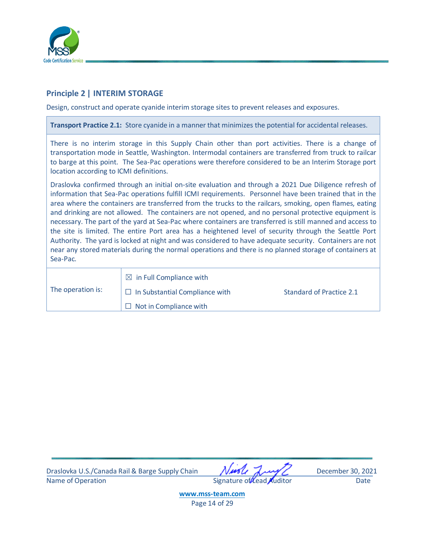

### <span id="page-14-0"></span>**Principle 2 | INTERIM STORAGE**

Design, construct and operate cyanide interim storage sites to prevent releases and exposures.

**Transport Practice 2.1:** Store cyanide in a manner that minimizes the potential for accidental releases.

There is no interim storage in this Supply Chain other than port activities. There is a change of transportation mode in Seattle, Washington. Intermodal containers are transferred from truck to railcar to barge at this point. The Sea-Pac operations were therefore considered to be an Interim Storage port location according to ICMI definitions.

Draslovka confirmed through an initial on-site evaluation and through a 2021 Due Diligence refresh of information that Sea-Pac operations fulfill ICMI requirements. Personnel have been trained that in the area where the containers are transferred from the trucks to the railcars, smoking, open flames, eating and drinking are not allowed. The containers are not opened, and no personal protective equipment is necessary. The part of the yard at Sea-Pac where containers are transferred is still manned and access to the site is limited. The entire Port area has a heightened level of security through the Seattle Port Authority. The yard is locked at night and was considered to have adequate security. Containers are not near any stored materials during the normal operations and there is no planned storage of containers at Sea-Pac.

| The operation is: | $\boxtimes$ in Full Compliance with   |                          |
|-------------------|---------------------------------------|--------------------------|
|                   | $\Box$ In Substantial Compliance with | Standard of Practice 2.1 |
|                   | $\Box$ Not in Compliance with         |                          |

Draslovka U.S./Canada Rail & Barge Supply Chain Music August December 30, 2021 Name of Operation and Contract Contract Contract Contract Contract Contract Contract Contract Contract Contract Contract Contract Contract Contract Contract Contract Contract Contract Contract Contract Contract Contract Co

**[www.mss-team.com](http://www.mss-team.com/)** Page 14 of 29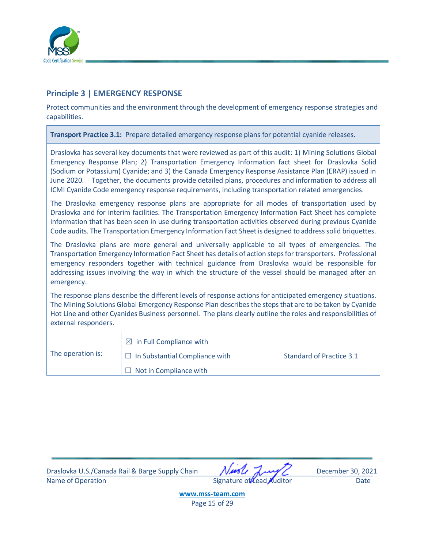

### <span id="page-15-0"></span>**Principle 3 | EMERGENCY RESPONSE**

Protect communities and the environment through the development of emergency response strategies and capabilities.

**Transport Practice 3.1:** Prepare detailed emergency response plans for potential cyanide releases.

Draslovka has several key documents that were reviewed as part of this audit: 1) Mining Solutions Global Emergency Response Plan; 2) Transportation Emergency Information fact sheet for Draslovka Solid (Sodium or Potassium) Cyanide; and 3) the Canada Emergency Response Assistance Plan (ERAP) issued in June 2020. Together, the documents provide detailed plans, procedures and information to address all ICMI Cyanide Code emergency response requirements, including transportation related emergencies.

The Draslovka emergency response plans are appropriate for all modes of transportation used by Draslovka and for interim facilities. The Transportation Emergency Information Fact Sheet has complete information that has been seen in use during transportation activities observed during previous Cyanide Code audits. The Transportation Emergency Information Fact Sheet is designed to address solid briquettes.

The Draslovka plans are more general and universally applicable to all types of emergencies. The Transportation Emergency Information Fact Sheet has details of action steps for transporters. Professional emergency responders together with technical guidance from Draslovka would be responsible for addressing issues involving the way in which the structure of the vessel should be managed after an emergency.

The response plans describe the different levels of response actions for anticipated emergency situations. The Mining Solutions Global Emergency Response Plan describes the steps that are to be taken by Cyanide Hot Line and other Cyanides Business personnel. The plans clearly outline the roles and responsibilities of external responders.

| The operation is: | $\boxtimes$ in Full Compliance with   |                          |
|-------------------|---------------------------------------|--------------------------|
|                   | $\Box$ In Substantial Compliance with | Standard of Practice 3.1 |
|                   | $\Box$ Not in Compliance with         |                          |

Draslovka U.S./Canada Rail & Barge Supply Chain Music August December 30, 2021 Name of Operation **Contract Contract Contract Contract Contract Contract Contract Contract Contract Contract Contract Contract Contract Contract Contract Contract Contract Contract Contract Contract Contract Contract Contr** 

**[www.mss-team.com](http://www.mss-team.com/)** Page 15 of 29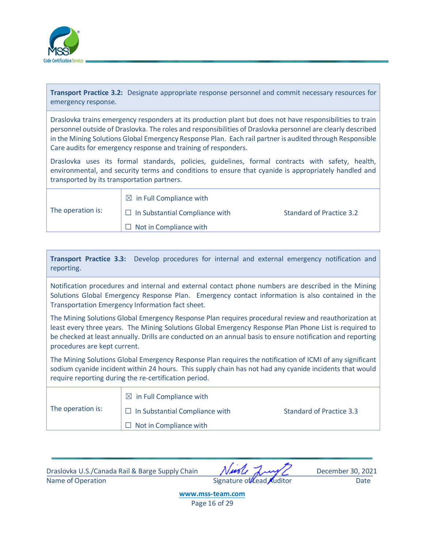

**Transport Practice 3.2:** Designate appropriate response personnel and commit necessary resources for emergency response.

Draslovka trains emergency responders at its production plant but does not have responsibilities to train personnel outside of Draslovka. The roles and responsibilities of Draslovka personnel are clearly described in the Mining Solutions Global Emergency Response Plan. Each rail partner is audited through Responsible Care audits for emergency response and training of responders.

Draslovka uses its formal standards, policies, guidelines, formal contracts with safety, health, environmental, and security terms and conditions to ensure that cyanide is appropriately handled and transported by its transportation partners.

| The operation is: | $\boxtimes$ in Full Compliance with   |                          |
|-------------------|---------------------------------------|--------------------------|
|                   | $\Box$ In Substantial Compliance with | Standard of Practice 3.2 |
|                   | $\Box$ Not in Compliance with         |                          |

| Transport Practice 3.3: Develop procedures for internal and external emergency notification and |  |  |  |  |  |
|-------------------------------------------------------------------------------------------------|--|--|--|--|--|
| reporting.                                                                                      |  |  |  |  |  |

Notification procedures and internal and external contact phone numbers are described in the Mining Solutions Global Emergency Response Plan. Emergency contact information is also contained in the Transportation Emergency Information fact sheet.

The Mining Solutions Global Emergency Response Plan requires procedural review and reauthorization at least every three years. The Mining Solutions Global Emergency Response Plan Phone List is required to be checked at least annually. Drills are conducted on an annual basis to ensure notification and reporting procedures are kept current.

The Mining Solutions Global Emergency Response Plan requires the notification of ICMI of any significant sodium cyanide incident within 24 hours. This supply chain has not had any cyanide incidents that would require reporting during the re-certification period.

|                   | $\boxtimes$ in Full Compliance with   |                          |
|-------------------|---------------------------------------|--------------------------|
| The operation is: | $\Box$ In Substantial Compliance with | Standard of Practice 3.3 |
|                   | $\Box$ Not in Compliance with         |                          |

Draslovka U.S./Canada Rail & Barge Supply Chain Music August December 30, 2021 Name of Operation and Date Signature of Lead Auditor Date Date

**[www.mss-team.com](http://www.mss-team.com/)** Page 16 of 29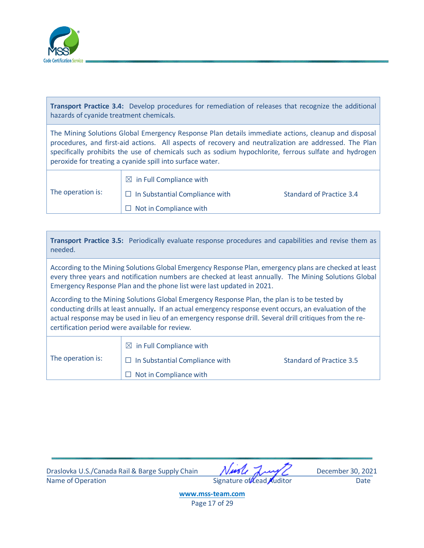

**Transport Practice 3.4:** Develop procedures for remediation of releases that recognize the additional hazards of cyanide treatment chemicals.

The Mining Solutions Global Emergency Response Plan details immediate actions, cleanup and disposal procedures, and first-aid actions. All aspects of recovery and neutralization are addressed. The Plan specifically prohibits the use of chemicals such as sodium hypochlorite, ferrous sulfate and hydrogen peroxide for treating a cyanide spill into surface water.

|                   | $\boxtimes$ in Full Compliance with   |                          |
|-------------------|---------------------------------------|--------------------------|
| The operation is: | $\Box$ In Substantial Compliance with | Standard of Practice 3.4 |
|                   | $\Box$ Not in Compliance with         |                          |

| According to the Mining Solutions Global Emergency Response Plan, emergency plans are checked at least<br>every three years and notification numbers are checked at least annually. The Mining Solutions Global<br>Emergency Response Plan and the phone list were last updated in 2021.<br>According to the Mining Solutions Global Emergency Response Plan, the plan is to be tested by<br>conducting drills at least annually. If an actual emergency response event occurs, an evaluation of the<br>actual response may be used in lieu of an emergency response drill. Several drill critiques from the re-<br>certification period were available for review.<br>$\boxtimes$ in Full Compliance with<br>The operation is: | needed. | Transport Practice 3.5: Periodically evaluate response procedures and capabilities and revise them as |                                 |
|---------------------------------------------------------------------------------------------------------------------------------------------------------------------------------------------------------------------------------------------------------------------------------------------------------------------------------------------------------------------------------------------------------------------------------------------------------------------------------------------------------------------------------------------------------------------------------------------------------------------------------------------------------------------------------------------------------------------------------|---------|-------------------------------------------------------------------------------------------------------|---------------------------------|
|                                                                                                                                                                                                                                                                                                                                                                                                                                                                                                                                                                                                                                                                                                                                 |         |                                                                                                       |                                 |
|                                                                                                                                                                                                                                                                                                                                                                                                                                                                                                                                                                                                                                                                                                                                 |         |                                                                                                       |                                 |
| Not in Compliance with                                                                                                                                                                                                                                                                                                                                                                                                                                                                                                                                                                                                                                                                                                          |         | In Substantial Compliance with                                                                        | <b>Standard of Practice 3.5</b> |

Draslovka U.S./Canada Rail & Barge Supply Chain Musle July C December 30, 2021 Name of Operation **Example 2018** Signature of Lead Auditor Date Date

**[www.mss-team.com](http://www.mss-team.com/)** Page 17 of 29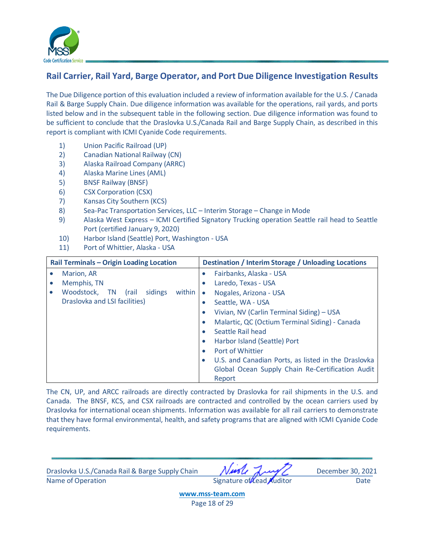

## <span id="page-18-0"></span>**Rail Carrier, Rail Yard, Barge Operator, and Port Due Diligence Investigation Results**

The Due Diligence portion of this evaluation included a review of information available for the U.S. / Canada Rail & Barge Supply Chain. Due diligence information was available for the operations, rail yards, and ports listed below and in the subsequent table in the following section. Due diligence information was found to be sufficient to conclude that the Draslovka U.S./Canada Rail and Barge Supply Chain, as described in this report is compliant with ICMI Cyanide Code requirements.

- 1) Union Pacific Railroad (UP)
- 2) Canadian National Railway (CN)
- 3) Alaska Railroad Company (ARRC)
- 4) Alaska Marine Lines (AML)
- 5) BNSF Railway (BNSF)
- 6) CSX Corporation (CSX)
- 7) Kansas City Southern (KCS)
- 8) Sea-Pac Transportation Services, LLC Interim Storage Change in Mode
- 9) Alaska West Express ICMI Certified Signatory Trucking operation Seattle rail head to Seattle Port (certified January 9, 2020)
- 10) Harbor Island (Seattle) Port, Washington USA
- 11) Port of Whittier, Alaska USA

| Rail Terminals - Origin Loading Location |                                                | <b>Destination / Interim Storage / Unloading Locations</b> |                                                     |
|------------------------------------------|------------------------------------------------|------------------------------------------------------------|-----------------------------------------------------|
|                                          | Marion, AR                                     | $\bullet$                                                  | Fairbanks, Alaska - USA                             |
|                                          | Memphis, TN                                    | $\bullet$                                                  | Laredo, Texas - USA                                 |
|                                          | Woodstock,<br>sidings<br>within<br>(rail<br>TN | $\bullet$                                                  | Nogales, Arizona - USA                              |
|                                          | Draslovka and LSI facilities)                  | $\bullet$                                                  | Seattle, WA - USA                                   |
|                                          |                                                | $\bullet$                                                  | Vivian, NV (Carlin Terminal Siding) - USA           |
|                                          |                                                | $\bullet$                                                  | Malartic, QC (Octium Terminal Siding) - Canada      |
|                                          |                                                | $\bullet$                                                  | Seattle Rail head                                   |
|                                          |                                                | $\bullet$                                                  | Harbor Island (Seattle) Port                        |
|                                          |                                                | $\bullet$                                                  | Port of Whittier                                    |
|                                          |                                                | $\bullet$                                                  | U.S. and Canadian Ports, as listed in the Draslovka |
|                                          |                                                |                                                            | Global Ocean Supply Chain Re-Certification Audit    |
|                                          |                                                |                                                            | Report                                              |

The CN, UP, and ARCC railroads are directly contracted by Draslovka for rail shipments in the U.S. and Canada. The BNSF, KCS, and CSX railroads are contracted and controlled by the ocean carriers used by Draslovka for international ocean shipments. Information was available for all rail carriers to demonstrate that they have formal environmental, health, and safety programs that are aligned with ICMI Cyanide Code requirements.

Draslovka U.S./Canada Rail & Barge Supply Chain Music August December 30, 2021 Name of Operation and Date Communication Signature of Lead Auditor Date Date

**[www.mss-team.com](http://www.mss-team.com/)** Page 18 of 29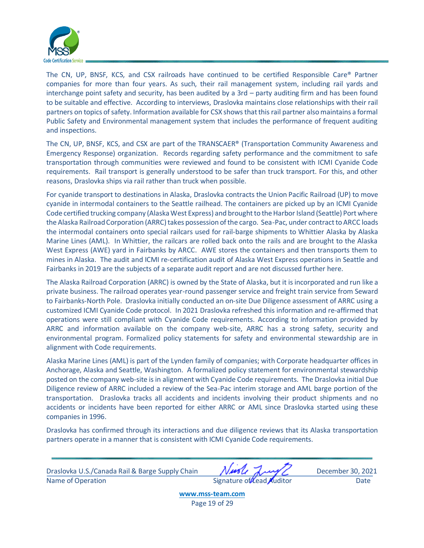

The CN, UP, BNSF, KCS, and CSX railroads have continued to be certified Responsible Care® Partner companies for more than four years. As such, their rail management system, including rail yards and interchange point safety and security, has been audited by a 3rd – party auditing firm and has been found to be suitable and effective. According to interviews, Draslovka maintains close relationships with their rail partners on topics of safety. Information available for CSX shows that this rail partner also maintains a formal Public Safety and Environmental management system that includes the performance of frequent auditing and inspections.

The CN, UP, BNSF, KCS, and CSX are part of the TRANSCAER® (Transportation Community Awareness and Emergency Response) organization. Records regarding safety performance and the commitment to safe transportation through communities were reviewed and found to be consistent with ICMI Cyanide Code requirements. Rail transport is generally understood to be safer than truck transport. For this, and other reasons, Draslovka ships via rail rather than truck when possible.

For cyanide transport to destinations in Alaska, Draslovka contracts the Union Pacific Railroad (UP) to move cyanide in intermodal containers to the Seattle railhead. The containers are picked up by an ICMI Cyanide Code certified trucking company (Alaska West Express) and brought to the Harbor Island (Seattle) Port where the Alaska Railroad Corporation (ARRC) takes possession of the cargo. Sea-Pac, under contract to ARCC loads the intermodal containers onto special railcars used for rail-barge shipments to Whittier Alaska by Alaska Marine Lines (AML). In Whittier, the railcars are rolled back onto the rails and are brought to the Alaska West Express (AWE) yard in Fairbanks by ARCC. AWE stores the containers and then transports them to mines in Alaska. The audit and ICMI re-certification audit of Alaska West Express operations in Seattle and Fairbanks in 2019 are the subjects of a separate audit report and are not discussed further here.

The Alaska Railroad Corporation (ARRC) is owned by the State of Alaska, but it is incorporated and run like a private business. The railroad operates year-round passenger service and freight train service from Seward to Fairbanks-North Pole. Draslovka initially conducted an on-site Due Diligence assessment of ARRC using a customized ICMI Cyanide Code protocol. In 2021 Draslovka refreshed this information and re-affirmed that operations were still compliant with Cyanide Code requirements. According to information provided by ARRC and information available on the company web-site, ARRC has a strong safety, security and environmental program. Formalized policy statements for safety and environmental stewardship are in alignment with Code requirements.

Alaska Marine Lines (AML) is part of the Lynden family of companies; with Corporate headquarter offices in Anchorage, Alaska and Seattle, Washington. A formalized policy statement for environmental stewardship posted on the company web-site is in alignment with Cyanide Code requirements. The Draslovka initial Due Diligence review of ARRC included a review of the Sea-Pac interim storage and AML barge portion of the transportation. Draslovka tracks all accidents and incidents involving their product shipments and no accidents or incidents have been reported for either ARRC or AML since Draslovka started using these companies in 1996.

Draslovka has confirmed through its interactions and due diligence reviews that its Alaska transportation partners operate in a manner that is consistent with ICMI Cyanide Code requirements.

Draslovka U.S./Canada Rail & Barge Supply Chain Music August December 30, 2021 Name of Operation and Date Signature of Lead Auditor Date

**[www.mss-team.com](http://www.mss-team.com/)** Page 19 of 29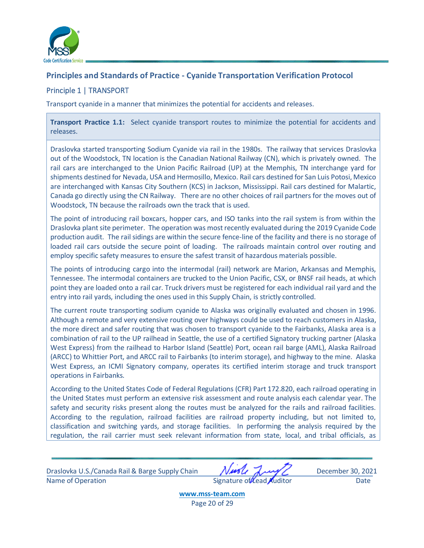

## <span id="page-20-0"></span>**Principles and Standards of Practice - Cyanide Transportation Verification Protocol**

## <span id="page-20-1"></span>Principle 1 | TRANSPORT

Transport cyanide in a manner that minimizes the potential for accidents and releases.

**Transport Practice 1.1:** Select cyanide transport routes to minimize the potential for accidents and releases.

Draslovka started transporting Sodium Cyanide via rail in the 1980s. The railway that services Draslovka out of the Woodstock, TN location is the Canadian National Railway (CN), which is privately owned. The rail cars are interchanged to the Union Pacific Railroad (UP) at the Memphis, TN interchange yard for shipments destined for Nevada, USA and Hermosillo, Mexico. Rail cars destined for San Luis Potosi, Mexico are interchanged with Kansas City Southern (KCS) in Jackson, Mississippi. Rail cars destined for Malartic, Canada go directly using the CN Railway. There are no other choices of rail partners for the moves out of Woodstock, TN because the railroads own the track that is used.

The point of introducing rail boxcars, hopper cars, and ISO tanks into the rail system is from within the Draslovka plant site perimeter. The operation was most recently evaluated during the 2019 Cyanide Code production audit. The rail sidings are within the secure fence-line of the facility and there is no storage of loaded rail cars outside the secure point of loading. The railroads maintain control over routing and employ specific safety measures to ensure the safest transit of hazardous materials possible.

The points of introducing cargo into the intermodal (rail) network are Marion, Arkansas and Memphis, Tennessee. The intermodal containers are trucked to the Union Pacific, CSX, or BNSF rail heads, at which point they are loaded onto a rail car. Truck drivers must be registered for each individual rail yard and the entry into rail yards, including the ones used in this Supply Chain, is strictly controlled.

The current route transporting sodium cyanide to Alaska was originally evaluated and chosen in 1996. Although a remote and very extensive routing over highways could be used to reach customers in Alaska, the more direct and safer routing that was chosen to transport cyanide to the Fairbanks, Alaska area is a combination of rail to the UP railhead in Seattle, the use of a certified Signatory trucking partner (Alaska West Express) from the railhead to Harbor Island (Seattle) Port, ocean rail barge (AML), Alaska Railroad (ARCC) to Whittier Port, and ARCC rail to Fairbanks (to interim storage), and highway to the mine. Alaska West Express, an ICMI Signatory company, operates its certified interim storage and truck transport operations in Fairbanks.

According to the United States Code of Federal Regulations (CFR) Part 172.820, each railroad operating in the United States must perform an extensive risk assessment and route analysis each calendar year. The safety and security risks present along the routes must be analyzed for the rails and railroad facilities. According to the regulation, railroad facilities are railroad property including, but not limited to, classification and switching yards, and storage facilities. In performing the analysis required by the regulation, the rail carrier must seek relevant information from state, local, and tribal officials, as

Draslovka U.S./Canada Rail & Barge Supply Chain Music August December 30, 2021 Name of Operation and Date Signature of Lead Auditor Case Date

**[www.mss-team.com](http://www.mss-team.com/)** Page 20 of 29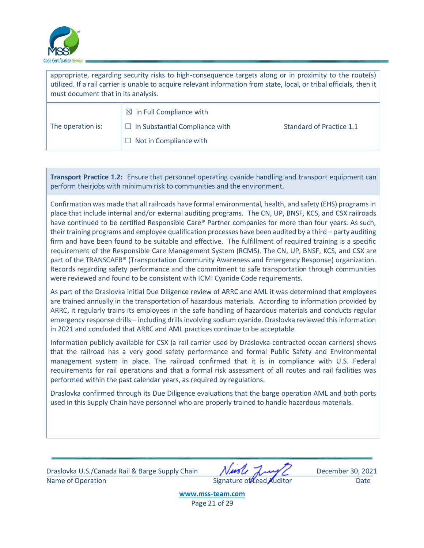

| appropriate, regarding security risks to high-consequence targets along or in proximity to the route(s)<br>utilized. If a rail carrier is unable to acquire relevant information from state, local, or tribal officials, then it<br>must document that in its analysis. |                                       |                                 |
|-------------------------------------------------------------------------------------------------------------------------------------------------------------------------------------------------------------------------------------------------------------------------|---------------------------------------|---------------------------------|
|                                                                                                                                                                                                                                                                         | $\boxtimes$ in Full Compliance with   |                                 |
| The operation is:                                                                                                                                                                                                                                                       | $\Box$ In Substantial Compliance with | <b>Standard of Practice 1.1</b> |
|                                                                                                                                                                                                                                                                         | $\Box$ Not in Compliance with         |                                 |

**Transport Practice 1.2:** Ensure that personnel operating cyanide handling and transport equipment can perform theirjobs with minimum risk to communities and the environment.

Confirmation was made that all railroads have formal environmental, health, and safety (EHS) programs in place that include internal and/or external auditing programs. The CN, UP, BNSF, KCS, and CSX railroads have continued to be certified Responsible Care® Partner companies for more than four years. As such, their training programs and employee qualification processes have been audited by a third – party auditing firm and have been found to be suitable and effective. The fulfillment of required training is a specific requirement of the Responsible Care Management System (RCMS). The CN, UP, BNSF, KCS, and CSX are part of the TRANSCAER® (Transportation Community Awareness and Emergency Response) organization. Records regarding safety performance and the commitment to safe transportation through communities were reviewed and found to be consistent with ICMI Cyanide Code requirements.

As part of the Draslovka initial Due Diligence review of ARRC and AML it was determined that employees are trained annually in the transportation of hazardous materials. According to information provided by ARRC, it regularly trains its employees in the safe handling of hazardous materials and conducts regular emergency response drills – including drills involving sodium cyanide. Draslovka reviewed this information in 2021 and concluded that ARRC and AML practices continue to be acceptable.

Information publicly available for CSX (a rail carrier used by Draslovka-contracted ocean carriers) shows that the railroad has a very good safety performance and formal Public Safety and Environmental management system in place. The railroad confirmed that it is in compliance with U.S. Federal requirements for rail operations and that a formal risk assessment of all routes and rail facilities was performed within the past calendar years, as required by regulations.

Draslovka confirmed through its Due Diligence evaluations that the barge operation AML and both ports used in this Supply Chain have personnel who are properly trained to handle hazardous materials.

Draslovka U.S./Canada Rail & Barge Supply Chain Music August December 30, 2021 Name of Operation Date Communication Signature of Lead Auditor Date

**[www.mss-team.com](http://www.mss-team.com/)** Page 21 of 29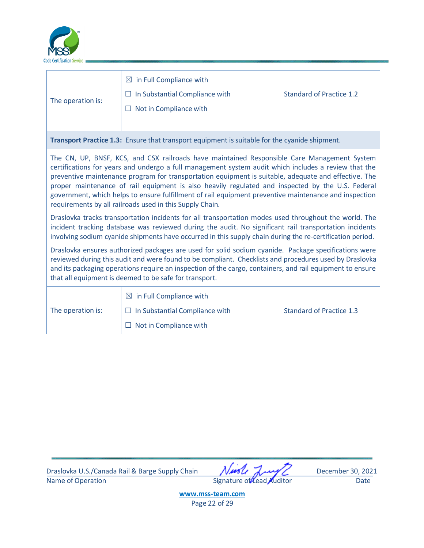

| The operation is:                                                                                                                                                                                                                                                                                                                                                                                                                                                                                                                                                                                                                                                                             | $\boxtimes$ in Full Compliance with<br>$\Box$ In Substantial Compliance with<br>$\Box$ Not in Compliance with | <b>Standard of Practice 1.2</b> |  |
|-----------------------------------------------------------------------------------------------------------------------------------------------------------------------------------------------------------------------------------------------------------------------------------------------------------------------------------------------------------------------------------------------------------------------------------------------------------------------------------------------------------------------------------------------------------------------------------------------------------------------------------------------------------------------------------------------|---------------------------------------------------------------------------------------------------------------|---------------------------------|--|
|                                                                                                                                                                                                                                                                                                                                                                                                                                                                                                                                                                                                                                                                                               | Transport Practice 1.3: Ensure that transport equipment is suitable for the cyanide shipment.                 |                                 |  |
| The CN, UP, BNSF, KCS, and CSX railroads have maintained Responsible Care Management System<br>certifications for years and undergo a full management system audit which includes a review that the<br>preventive maintenance program for transportation equipment is suitable, adequate and effective. The<br>proper maintenance of rail equipment is also heavily regulated and inspected by the U.S. Federal<br>government, which helps to ensure fulfillment of rail equipment preventive maintenance and inspection<br>requirements by all railroads used in this Supply Chain.<br>Draslovka tracks transportation incidents for all transportation modes used throughout the world. The |                                                                                                               |                                 |  |
| incident tracking database was reviewed during the audit. No significant rail transportation incidents<br>involving sodium cyanide shipments have occurred in this supply chain during the re-certification period.                                                                                                                                                                                                                                                                                                                                                                                                                                                                           |                                                                                                               |                                 |  |
| Draslovka ensures authorized packages are used for solid sodium cyanide. Package specifications were<br>reviewed during this audit and were found to be compliant. Checklists and procedures used by Draslovka<br>and its packaging operations require an inspection of the cargo, containers, and rail equipment to ensure<br>that all equipment is deemed to be safe for transport.                                                                                                                                                                                                                                                                                                         |                                                                                                               |                                 |  |
| The operation is:                                                                                                                                                                                                                                                                                                                                                                                                                                                                                                                                                                                                                                                                             | $\boxtimes$ in Full Compliance with<br>$\Box$ In Substantial Compliance with<br>$\Box$ Not in Compliance with | <b>Standard of Practice 1.3</b> |  |

Draslovka U.S./Canada Rail & Barge Supply Chain Muscle Jump December 30, 2021<br>Name of Operation Date Signature of Lead Auditor Date

Signature of Lead Auditor Date

**[www.mss-team.com](http://www.mss-team.com/)** Page 22 of 29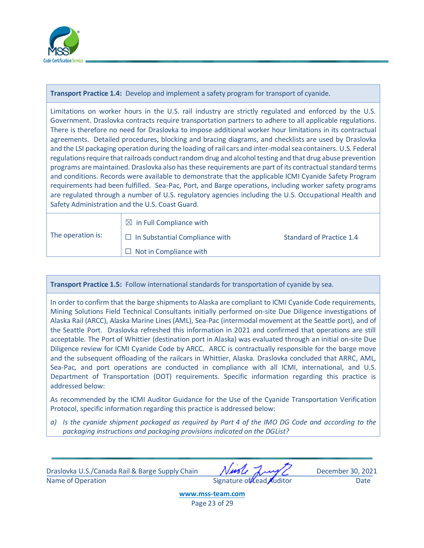

**Transport Practice 1.4:** Develop and implement a safety program for transport of cyanide.

Limitations on worker hours in the U.S. rail industry are strictly regulated and enforced by the U.S. Government. Draslovka contracts require transportation partners to adhere to all applicable regulations. There is therefore no need for Draslovka to impose additional worker hour limitations in its contractual agreements. Detailed procedures, blocking and bracing diagrams, and checklists are used by Draslovka and the LSI packaging operation during the loading of rail cars and inter-modal sea containers. U.S. Federal regulations require that railroads conduct random drug and alcohol testing and that drug abuse prevention programs are maintained. Draslovka also has these requirements are part of its contractual standard terms and conditions. Records were available to demonstrate that the applicable ICMI Cyanide Safety Program requirements had been fulfilled. Sea-Pac, Port, and Barge operations, including worker safety programs are regulated through a number of U.S. regulatory agencies including the U.S. Occupational Health and Safety Administration and the U.S. Coast Guard.

|                   | $\boxtimes$ in Full Compliance with   |                          |
|-------------------|---------------------------------------|--------------------------|
| The operation is: | $\Box$ In Substantial Compliance with | Standard of Practice 1.4 |
|                   | $\Box$ Not in Compliance with         |                          |

#### **Transport Practice 1.5:** Follow international standards for transportation of cyanide by sea.

In order to confirm that the barge shipments to Alaska are compliant to ICMI Cyanide Code requirements, Mining Solutions Field Technical Consultants initially performed on-site Due Diligence investigations of Alaska Rail (ARCC), Alaska Marine Lines (AML), Sea-Pac (intermodal movement at the Seattle port), and of the Seattle Port. Draslovka refreshed this information in 2021 and confirmed that operations are still acceptable. The Port of Whittier (destination port in Alaska) was evaluated through an initial on-site Due Diligence review for ICMI Cyanide Code by ARCC. ARCC is contractually responsible for the barge move and the subsequent offloading of the railcars in Whittier, Alaska. Draslovka concluded that ARRC, AML, Sea-Pac, and port operations are conducted in compliance with all ICMI, international, and U.S. Department of Transportation (DOT) requirements. Specific information regarding this practice is addressed below:

As recommended by the ICMI Auditor Guidance for the Use of the Cyanide Transportation Verification Protocol, specific information regarding this practice is addressed below:

*a) Is the cyanide shipment packaged as required by Part 4 of the IMO DG Code and according to the packaging instructions and packaging provisions indicated on the DGList?*

Draslovka U.S./Canada Rail & Barge Supply Chain Music August December 30, 2021 Name of Operation and Date Signature of Lead Auditor Case Date

**[www.mss-team.com](http://www.mss-team.com/)** Page 23 of 29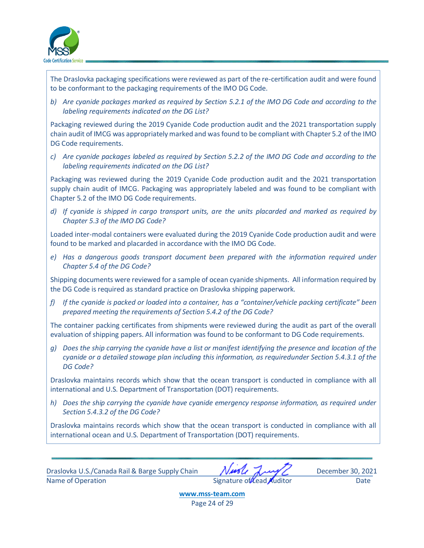

The Draslovka packaging specifications were reviewed as part of the re-certification audit and were found to be conformant to the packaging requirements of the IMO DG Code.

*b) Are cyanide packages marked as required by Section 5.2.1 of the IMO DG Code and according to the labeling requirements indicated on the DG List?*

Packaging reviewed during the 2019 Cyanide Code production audit and the 2021 transportation supply chain audit of IMCG was appropriately marked and wasfound to be compliant with Chapter 5.2 of the IMO DG Code requirements.

*c) Are cyanide packages labeled as required by Section 5.2.2 of the IMO DG Code and according to the labeling requirements indicated on the DG List?*

Packaging was reviewed during the 2019 Cyanide Code production audit and the 2021 transportation supply chain audit of IMCG. Packaging was appropriately labeled and was found to be compliant with Chapter 5.2 of the IMO DG Code requirements.

*d) If cyanide is shipped in cargo transport units, are the units placarded and marked as required by Chapter 5.3 of the IMO DG Code?*

Loaded inter-modal containers were evaluated during the 2019 Cyanide Code production audit and were found to be marked and placarded in accordance with the IMO DG Code.

*e) Has a dangerous goods transport document been prepared with the information required under Chapter 5.4 of the DG Code?*

Shipping documents were reviewed for a sample of ocean cyanide shipments. All information required by the DG Code is required as standard practice on Draslovka shipping paperwork.

*f) If the cyanide is packed or loaded into a container, has a "container/vehicle packing certificate" been prepared meeting the requirements of Section 5.4.2 of the DG Code?*

The container packing certificates from shipments were reviewed during the audit as part of the overall evaluation of shipping papers. All information was found to be conformant to DG Code requirements.

*g) Does the ship carrying the cyanide have a list or manifest identifying the presence and location of the cyanide or a detailed stowage plan including this information, as requiredunder Section 5.4.3.1 of the DG Code?*

Draslovka maintains records which show that the ocean transport is conducted in compliance with all international and U.S. Department of Transportation (DOT) requirements.

*h) Does the ship carrying the cyanide have cyanide emergency response information, as required under Section 5.4.3.2 of the DG Code?*

Draslovka maintains records which show that the ocean transport is conducted in compliance with all international ocean and U.S. Department of Transportation (DOT) requirements.

Draslovka U.S./Canada Rail & Barge Supply Chain Music August December 30, 2021 Name of Operation and Date Signature of Lead Auditor Date Date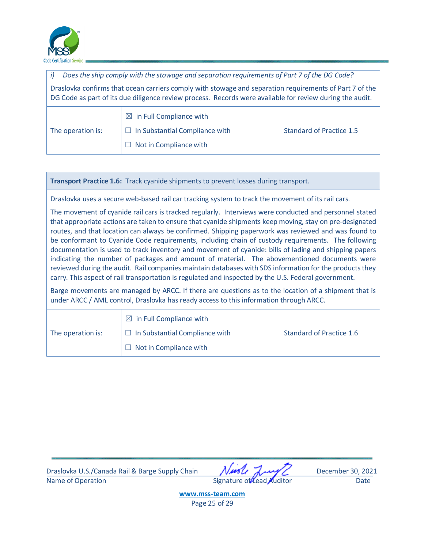

*i) Does the ship comply with the stowage and separation requirements of Part 7 of the DG Code?* Draslovka confirms that ocean carriers comply with stowage and separation requirements of Part 7 of the DG Code as part of its due diligence review process. Records were available for review during the audit. The operation is:  $\boxtimes$  in Full Compliance with  $\Box$  In Substantial Compliance with Standard of Practice 1.5  $\Box$  Not in Compliance with

**Transport Practice 1.6:** Track cyanide shipments to prevent losses during transport.

Draslovka uses a secure web-based rail car tracking system to track the movement of its rail cars.

The movement of cyanide rail cars is tracked regularly. Interviews were conducted and personnel stated that appropriate actions are taken to ensure that cyanide shipments keep moving, stay on pre-designated routes, and that location can always be confirmed. Shipping paperwork was reviewed and was found to be conformant to Cyanide Code requirements, including chain of custody requirements. The following documentation is used to track inventory and movement of cyanide: bills of lading and shipping papers indicating the number of packages and amount of material. The abovementioned documents were reviewed during the audit. Rail companies maintain databases with SDS information for the products they carry. This aspect of rail transportation is regulated and inspected by the U.S. Federal government.

Barge movements are managed by ARCC. If there are questions as to the location of a shipment that is under ARCC / AML control, Draslovka has ready access to this information through ARCC.

|                   | $\boxtimes$ in Full Compliance with   |                          |
|-------------------|---------------------------------------|--------------------------|
| The operation is: | $\Box$ In Substantial Compliance with | Standard of Practice 1.6 |
|                   | $\Box$ Not in Compliance with         |                          |

Draslovka U.S./Canada Rail & Barge Supply Chain Music August December 30, 2021 Name of Operation **Name of Operation** Signature of Lead Auditor Date

**[www.mss-team.com](http://www.mss-team.com/)** Page 25 of 29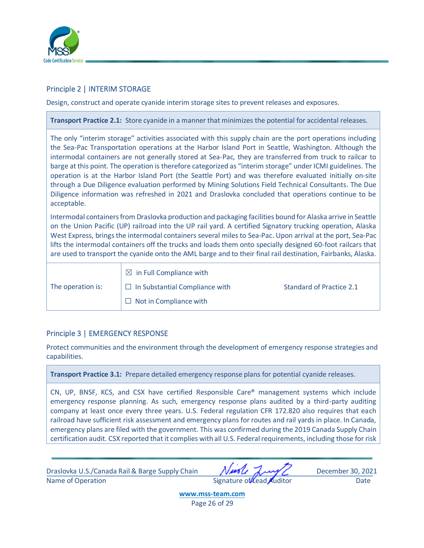

## <span id="page-26-0"></span>Principle 2 | INTERIM STORAGE

Design, construct and operate cyanide interim storage sites to prevent releases and exposures.

**Transport Practice 2.1:** Store cyanide in a manner that minimizes the potential for accidental releases.

The only "interim storage" activities associated with this supply chain are the port operations including the Sea-Pac Transportation operations at the Harbor Island Port in Seattle, Washington. Although the intermodal containers are not generally stored at Sea-Pac, they are transferred from truck to railcar to barge at this point. The operation is therefore categorized as "interim storage" under ICMI guidelines. The operation is at the Harbor Island Port (the Seattle Port) and was therefore evaluated initially on-site through a Due Diligence evaluation performed by Mining Solutions Field Technical Consultants. The Due Diligence information was refreshed in 2021 and Draslovka concluded that operations continue to be acceptable.

Intermodal containers from Draslovka production and packaging facilities bound for Alaska arrive in Seattle on the Union Pacific (UP) railroad into the UP rail yard. A certified Signatory trucking operation, Alaska West Express, brings the intermodal containers several miles to Sea-Pac. Upon arrival at the port, Sea-Pac lifts the intermodal containers off the trucks and loads them onto specially designed 60-foot railcars that are used to transport the cyanide onto the AML barge and to their final rail destination, Fairbanks, Alaska.

|                   | $\boxtimes$ in Full Compliance with   |                          |
|-------------------|---------------------------------------|--------------------------|
| The operation is: | $\Box$ In Substantial Compliance with | Standard of Practice 2.1 |
|                   | $\Box$ Not in Compliance with         |                          |

#### <span id="page-26-1"></span>Principle 3 | EMERGENCY RESPONSE

Protect communities and the environment through the development of emergency response strategies and capabilities.

**Transport Practice 3.1:** Prepare detailed emergency response plans for potential cyanide releases.

CN, UP, BNSF, KCS, and CSX have certified Responsible Care® management systems which include emergency response planning. As such, emergency response plans audited by a third-party auditing company at least once every three years. U.S. Federal regulation CFR 172.820 also requires that each railroad have sufficient risk assessment and emergency plans for routes and rail yards in place. In Canada, emergency plans are filed with the government. This was confirmed during the 2019 Canada Supply Chain certification audit. CSX reported that it complies with all U.S. Federal requirements, including those for risk

Draslovka U.S./Canada Rail & Barge Supply Chain Music August December 30, 2021 Name of Operation and Date Signature of Lead Auditor Date Date

**[www.mss-team.com](http://www.mss-team.com/)**

Page 26 of 29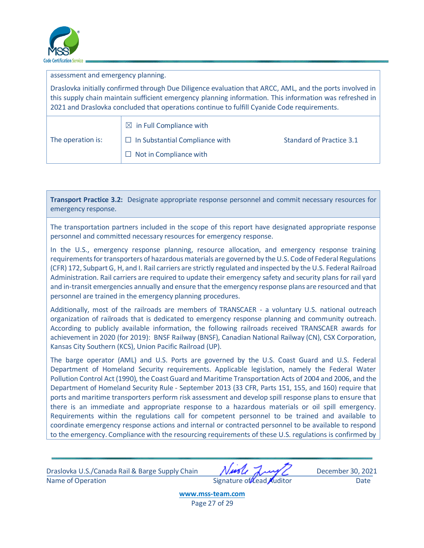

| assessment and emergency planning.                                                                                                                                                                                                                                                                                 |                                                                              |                                 |
|--------------------------------------------------------------------------------------------------------------------------------------------------------------------------------------------------------------------------------------------------------------------------------------------------------------------|------------------------------------------------------------------------------|---------------------------------|
| Draslovka initially confirmed through Due Diligence evaluation that ARCC, AML, and the ports involved in<br>this supply chain maintain sufficient emergency planning information. This information was refreshed in<br>2021 and Draslovka concluded that operations continue to fulfill Cyanide Code requirements. |                                                                              |                                 |
| The operation is:                                                                                                                                                                                                                                                                                                  | $\boxtimes$ in Full Compliance with<br>$\Box$ In Substantial Compliance with | <b>Standard of Practice 3.1</b> |
|                                                                                                                                                                                                                                                                                                                    | $\Box$ Not in Compliance with                                                |                                 |

**Transport Practice 3.2:** Designate appropriate response personnel and commit necessary resources for emergency response.

The transportation partners included in the scope of this report have designated appropriate response personnel and committed necessary resources for emergency response.

In the U.S., emergency response planning, resource allocation, and emergency response training requirements for transporters of hazardous materials are governed by the U.S. Code of Federal Regulations (CFR) 172, Subpart G, H, and I. Rail carriers are strictly regulated and inspected by the U.S. Federal Railroad Administration. Rail carriers are required to update their emergency safety and security plans for rail yard and in-transit emergencies annually and ensure that the emergency response plans are resourced and that personnel are trained in the emergency planning procedures.

Additionally, most of the railroads are members of TRANSCAER - a voluntary U.S. national outreach organization of railroads that is dedicated to emergency response planning and community outreach. According to publicly available information, the following railroads received TRANSCAER awards for achievement in 2020 (for 2019): BNSF Railway (BNSF), Canadian National Railway (CN), CSX Corporation, Kansas City Southern (KCS), Union Pacific Railroad (UP).

The barge operator (AML) and U.S. Ports are governed by the U.S. Coast Guard and U.S. Federal Department of Homeland Security requirements. Applicable legislation, namely the Federal Water Pollution Control Act (1990), the Coast Guard and Maritime Transportation Acts of 2004 and 2006, and the Department of Homeland Security Rule - September 2013 (33 CFR, Parts 151, 155, and 160) require that ports and maritime transporters perform risk assessment and develop spill response plans to ensure that there is an immediate and appropriate response to a hazardous materials or oil spill emergency. Requirements within the regulations call for competent personnel to be trained and available to coordinate emergency response actions and internal or contracted personnel to be available to respond to the emergency. Compliance with the resourcing requirements of these U.S. regulations is confirmed by

Draslovka U.S./Canada Rail & Barge Supply Chain Music August December 30, 2021 Name of Operation and Date Signature of Lead Auditor Date Date

**[www.mss-team.com](http://www.mss-team.com/)** Page 27 of 29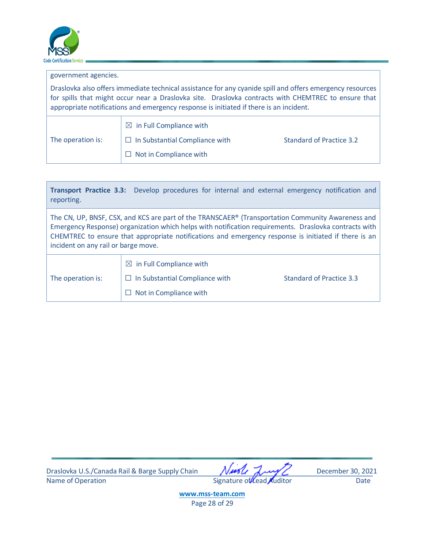

| government agencies.                                                                                                                                                                                                                                                                                       |                                                                                                               |                          |
|------------------------------------------------------------------------------------------------------------------------------------------------------------------------------------------------------------------------------------------------------------------------------------------------------------|---------------------------------------------------------------------------------------------------------------|--------------------------|
| Draslovka also offers immediate technical assistance for any cyanide spill and offers emergency resources<br>for spills that might occur near a Draslovka site. Draslovka contracts with CHEMTREC to ensure that<br>appropriate notifications and emergency response is initiated if there is an incident. |                                                                                                               |                          |
| The operation is:                                                                                                                                                                                                                                                                                          | $\boxtimes$ in Full Compliance with<br>$\Box$ In Substantial Compliance with<br>$\Box$ Not in Compliance with | Standard of Practice 3.2 |

| reporting.                                                                                                                                                                                                                                                                                                                                                | Transport Practice 3.3: Develop procedures for internal and external emergency notification and        |                          |
|-----------------------------------------------------------------------------------------------------------------------------------------------------------------------------------------------------------------------------------------------------------------------------------------------------------------------------------------------------------|--------------------------------------------------------------------------------------------------------|--------------------------|
| The CN, UP, BNSF, CSX, and KCS are part of the TRANSCAER® (Transportation Community Awareness and<br>Emergency Response) organization which helps with notification requirements. Draslovka contracts with<br>CHEMTREC to ensure that appropriate notifications and emergency response is initiated if there is an<br>incident on any rail or barge move. |                                                                                                        |                          |
| The operation is:                                                                                                                                                                                                                                                                                                                                         | $\boxtimes$ in Full Compliance with<br>$\Box$ In Substantial Compliance with<br>Not in Compliance with | Standard of Practice 3.3 |

Draslovka U.S./Canada Rail & Barge Supply Chain Muslem Jump December 30, 2021<br>Name of Operation Date Signature of Lead Auditor Date

Signature of Lead Auditor Date

**[www.mss-team.com](http://www.mss-team.com/)** Page 28 of 29